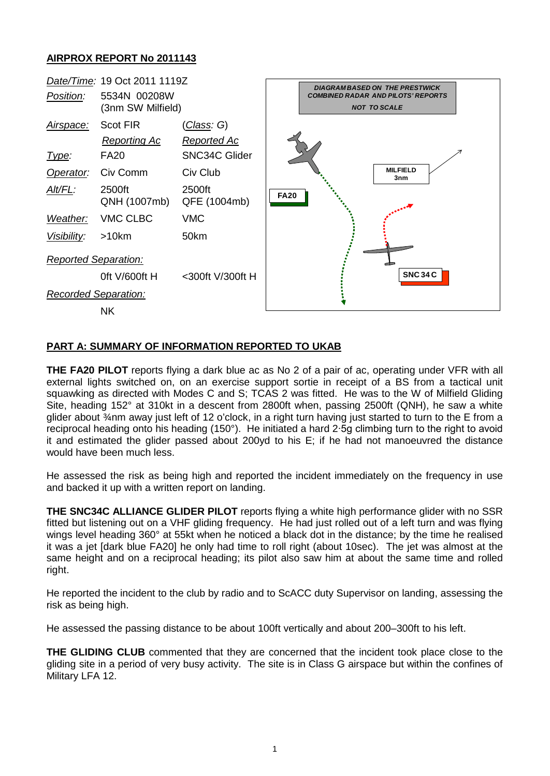## **AIRPROX REPORT No 2011143**



### **PART A: SUMMARY OF INFORMATION REPORTED TO UKAB**

**THE FA20 PILOT** reports flying a dark blue ac as No 2 of a pair of ac, operating under VFR with all external lights switched on, on an exercise support sortie in receipt of a BS from a tactical unit squawking as directed with Modes C and S; TCAS 2 was fitted. He was to the W of Milfield Gliding Site, heading 152° at 310kt in a descent from 2800ft when, passing 2500ft (QNH), he saw a white glider about ¾nm away just left of 12 o'clock, in a right turn having just started to turn to the E from a reciprocal heading onto his heading (150°). He initiated a hard 2∙5g climbing turn to the right to avoid it and estimated the glider passed about 200yd to his E; if he had not manoeuvred the distance would have been much less.

He assessed the risk as being high and reported the incident immediately on the frequency in use and backed it up with a written report on landing.

**THE SNC34C ALLIANCE GLIDER PILOT** reports flying a white high performance glider with no SSR fitted but listening out on a VHF gliding frequency. He had just rolled out of a left turn and was flying wings level heading 360° at 55kt when he noticed a black dot in the distance; by the time he realised it was a jet [dark blue FA20] he only had time to roll right (about 10sec). The jet was almost at the same height and on a reciprocal heading; its pilot also saw him at about the same time and rolled right.

He reported the incident to the club by radio and to ScACC duty Supervisor on landing, assessing the risk as being high.

He assessed the passing distance to be about 100ft vertically and about 200–300ft to his left.

**THE GLIDING CLUB** commented that they are concerned that the incident took place close to the gliding site in a period of very busy activity. The site is in Class G airspace but within the confines of Military LFA 12.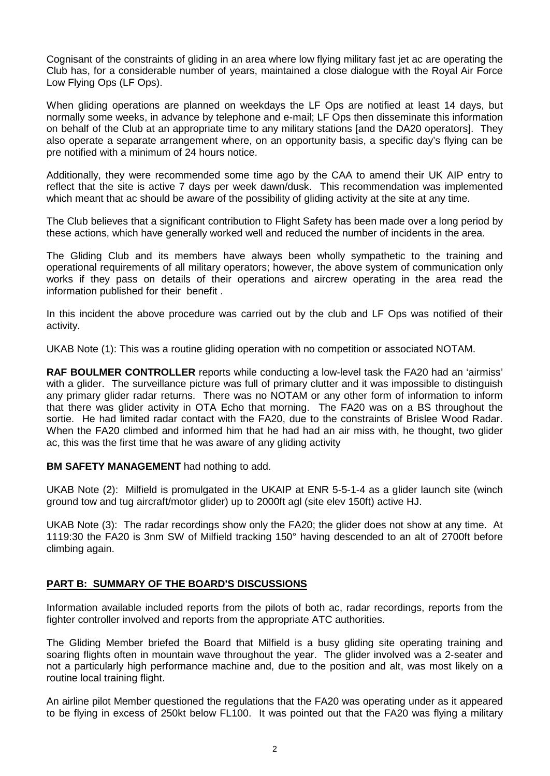Cognisant of the constraints of gliding in an area where low flying military fast jet ac are operating the Club has, for a considerable number of years, maintained a close dialogue with the Royal Air Force Low Flying Ops (LF Ops).

When gliding operations are planned on weekdays the LF Ops are notified at least 14 days, but normally some weeks, in advance by telephone and e-mail; LF Ops then disseminate this information on behalf of the Club at an appropriate time to any military stations [and the DA20 operators]. They also operate a separate arrangement where, on an opportunity basis, a specific day's flying can be pre notified with a minimum of 24 hours notice.

Additionally, they were recommended some time ago by the CAA to amend their UK AIP entry to reflect that the site is active 7 days per week dawn/dusk. This recommendation was implemented which meant that ac should be aware of the possibility of gliding activity at the site at any time.

The Club believes that a significant contribution to Flight Safety has been made over a long period by these actions, which have generally worked well and reduced the number of incidents in the area.

The Gliding Club and its members have always been wholly sympathetic to the training and operational requirements of all military operators; however, the above system of communication only works if they pass on details of their operations and aircrew operating in the area read the information published for their benefit .

In this incident the above procedure was carried out by the club and LF Ops was notified of their activity.

UKAB Note (1): This was a routine gliding operation with no competition or associated NOTAM.

**RAF BOULMER CONTROLLER** reports while conducting a low-level task the FA20 had an 'airmiss' with a glider. The surveillance picture was full of primary clutter and it was impossible to distinguish any primary glider radar returns. There was no NOTAM or any other form of information to inform that there was glider activity in OTA Echo that morning. The FA20 was on a BS throughout the sortie. He had limited radar contact with the FA20, due to the constraints of Brislee Wood Radar. When the FA20 climbed and informed him that he had had an air miss with, he thought, two glider ac, this was the first time that he was aware of any gliding activity

#### **BM SAFETY MANAGEMENT** had nothing to add.

UKAB Note (2): Milfield is promulgated in the UKAIP at ENR 5-5-1-4 as a glider launch site (winch ground tow and tug aircraft/motor glider) up to 2000ft agl (site elev 150ft) active HJ.

UKAB Note (3): The radar recordings show only the FA20; the glider does not show at any time. At 1119:30 the FA20 is 3nm SW of Milfield tracking 150° having descended to an alt of 2700ft before climbing again.

### **PART B: SUMMARY OF THE BOARD'S DISCUSSIONS**

Information available included reports from the pilots of both ac, radar recordings, reports from the fighter controller involved and reports from the appropriate ATC authorities.

The Gliding Member briefed the Board that Milfield is a busy gliding site operating training and soaring flights often in mountain wave throughout the year. The glider involved was a 2-seater and not a particularly high performance machine and, due to the position and alt, was most likely on a routine local training flight.

An airline pilot Member questioned the regulations that the FA20 was operating under as it appeared to be flying in excess of 250kt below FL100. It was pointed out that the FA20 was flying a military